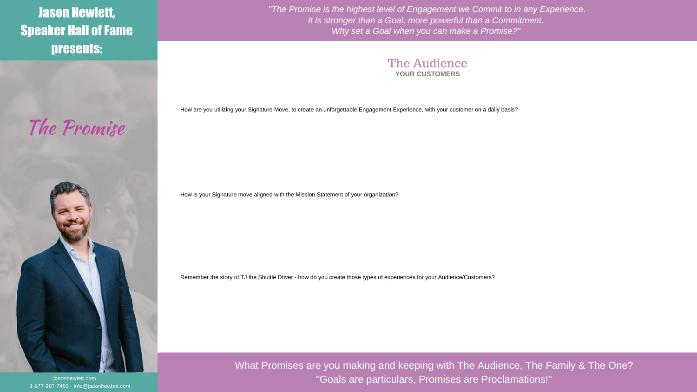**Jason Hewlett, Speaker Hall of Fame** presents:

The Promise



jasonhewlett.com 1-877-307-7403 - info@jasonhewlett.com *"The Promise is the highest level of Engagement we Commit to in any Experience. It is stronger than a Goal, more powerful than a Commitment. Why set a Goal when you can make a Promise?"* 



How are you utilizing your Signature Move, to create an unforgettable Engagement Experience, with your customer on a daily basis?

How is your Signature move aligned with the Mission Statement of your organization?

Remember the story of TJ the Shuttle Driver - how do you create those types of experiences for your Audience/Customers?

What Promises are you making and keeping with The Audience, The Family & The One? "Goals are particulars, Promises are Proclamations!"